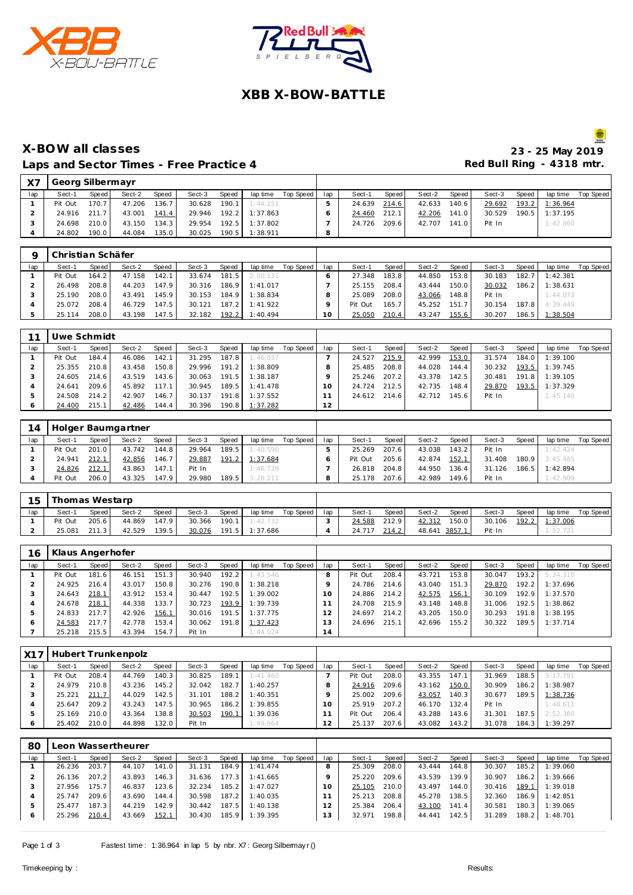



# **XBB X-BOW-BATTLE**

### **X-BOW all classes 23 - 25 May 2019** Laps and Sector Times - Free Practice 4 **Access 20 Access 20 Access 20 Access 20 Access 20 Access 20 Access 20 Access** 20 Access 20 Access 20 Access 20 Access 20 Access 20 Access 20 Access 20 Access 20 Access 20 Access 20

| X <sub>7</sub> | Georg Silbermayr |                    |        |       |        |       |          |           |     |        |        |        |       |        |       |          |           |
|----------------|------------------|--------------------|--------|-------|--------|-------|----------|-----------|-----|--------|--------|--------|-------|--------|-------|----------|-----------|
| lap            | Sect-1           | Speed              | Sect-2 | Speed | Sect-3 | Speed | lap time | Top Speed | lap | Sect-1 | Speed  | Sect-2 | Speed | Sect-3 | Speed | lap time | Top Speed |
|                | Pit Out          | 170.7 <sub>1</sub> | 47.206 | 136.7 | 30.628 | 190.1 | 1:44.151 |           |     | 24.639 | 214.61 | 42.633 | 140.6 | 29.692 | 193.2 | 1:36.964 |           |
|                | 24.916           | 211.7              | 43.001 | 141.4 | 29.946 | 192.2 | 1:37.863 |           |     | 24.460 | 212.1  | 42.206 | 141.0 | 30.529 | 190.5 | 1:37.195 |           |
|                | 24.698           | 210.0              | 43.150 | 134.3 | 29.954 | 192.5 | 1:37.802 |           |     | 24.726 | 209.6  | 42.707 | 141.0 | Pit In |       | 1:42.860 |           |
|                | 24.802           | 190.0              | 44.084 | 135.0 | 30.025 | 190.5 | 1:38.911 |           | 8   |        |        |        |       |        |       |          |           |

|     | Christian Schäfer |         |        |              |        |       |          |           |     |         |       |        |       |        |       |          |           |
|-----|-------------------|---------|--------|--------------|--------|-------|----------|-----------|-----|---------|-------|--------|-------|--------|-------|----------|-----------|
| lap | Sect-1            | Speed I | Sect-2 | <b>Speed</b> | Sect-3 | Speed | lap time | Top Speed | lap | Sect-1  | Speed | Sect-2 | Speed | Sect-3 | Speed | lap time | Top Speed |
|     | Pit Out           | 164.2   | 47.158 | 142.1        | 33.674 | 181.5 | 2:00.131 |           |     | 27.348  | 183.8 | 44.850 | 153.8 | 30.183 | 182.7 | 1:42.381 |           |
|     | 26.498            | 208.8   | 44.203 | 147.9        | 30.316 | 186.9 | 1:41.017 |           |     | 25.155  | 208.4 | 43.444 | 150.0 | 30.032 | 186.2 | 1:38.631 |           |
|     | 25.190            | 208.0   | 43.491 | 145.9        | 30.153 | 184.9 | 1:38.834 |           |     | 25.089  | 208.0 | 43.066 | 148.8 | Pit In |       | 1:44.073 |           |
|     | 25.072            | 208.4   | 46.729 | 147.5        | 30.121 | 187.2 | 1:41.922 |           |     | Pit Out | 165.7 | 45.252 | 151.7 | 30.154 | 187.8 | 4:39.449 |           |
|     | 25.114            | 208.0   | 43.198 | 147.5        | 32.182 | 192.2 | 1:40.494 |           |     | 25.050  | 210.4 | 43.247 | 155.6 | 30.207 | 186.5 | 1:38.504 |           |

|     | Uwe Schmidt |       |        |       |        |       |                |           |     |              |       |              |       |        |              |                |           |
|-----|-------------|-------|--------|-------|--------|-------|----------------|-----------|-----|--------------|-------|--------------|-------|--------|--------------|----------------|-----------|
| lap | Sect-1      | Speed | Sect-2 | Speed | Sect-3 | Speed | lap time       | Top Speed | lap | Sect-1       | Speed | Sect-2       | Speed | Sect-3 | <b>Speed</b> | lap time       | Top Speed |
|     | Pit Out     | 184.4 | 46.086 | 142.1 | 31.295 | 187.8 | 1:46.037       |           |     | 24.527       | 215.9 | 42.999       | 153.0 | 31.574 | 184.0        | 1:39.100       |           |
|     | 25.355      | 210.8 | 43.458 | 150.8 | 29.996 | 191.2 | 1:38.809       |           |     | 25.485       | 208.8 | 44.028       | 144.4 | 30.232 |              | 193.5 1:39.745 |           |
|     | 24.605      | 214.6 | 43.519 | 143.6 | 30.063 | 191.5 | 1:38.187       |           |     | 25.246       | 207.2 | 43.378       | 142.5 | 30.481 |              | 191.8 1:39.105 |           |
|     | 24.641      | 209.6 | 45.892 | 117.1 | 30.945 |       | 189.5 1:41.478 |           |     | 24.724       | 212.5 | 42.735       | 148.4 | 29.870 | 193.5        | 1:37.329       |           |
|     | 24.508      | 214.2 | 42.907 | 146.7 | 30.137 | 191.8 | 1:37.552       |           |     | 24.612 214.6 |       | 42.712 145.6 |       | Pit In |              | 1:45.140       |           |
|     | 24.400      | 215.1 | 42.486 | 144.4 | 30.396 |       | 190.8 1:37.282 |           | 2   |              |       |              |       |        |              |                |           |

| 14  |         |         | Holger Baumgartner |              |        |       |          |           |     |         |       |        |       |        |       |          |           |
|-----|---------|---------|--------------------|--------------|--------|-------|----------|-----------|-----|---------|-------|--------|-------|--------|-------|----------|-----------|
| lap | Sect-1  | Speed i | Sect-2             | <b>Speed</b> | Sect-3 | Speed | lap time | Top Speed | lap | Sect-1  | Speed | Sect-2 | Speed | Sect-3 | Speed | lap time | Top Speed |
|     | Pit Out | 201.0   | 43.742             | 144.8        | 29.964 | 189.5 | 1:40.590 |           |     | 25.269  | 207.6 | 43.038 | 143.2 | Pit In |       | 1:42.424 |           |
|     | 24.941  | 212.1   | 42.856             | 146.7        | 29.887 | 191.2 | 1:37.684 |           |     | Pit Out | 205.6 | 42.874 | 152.1 | 31.408 | 180.9 | 3:45.485 |           |
|     | 24.826  | 212.1   | 43.863             | 147.1        | Pit In |       | 1:46.729 |           |     | 26.818  | 204.8 | 44.950 | 136.4 | 31.126 | 186.5 | 1:42.894 |           |
|     | Pit Out | 206.0   | 43.325             | 147.9        | 29.980 | 189.5 | 3:28.211 |           |     | 25.178  | 207.6 | 42.989 | 149.6 | Pit In |       | 1:42.909 |           |

| 15  | Thomas Westarp |        |        |       |        |       |          |           |     |        |       |        |       |        |       |          |           |
|-----|----------------|--------|--------|-------|--------|-------|----------|-----------|-----|--------|-------|--------|-------|--------|-------|----------|-----------|
| lap | Sect-1         | Speed  | Sect-2 | Speed | Sect-3 | Speed | lap time | Top Speed | lap | Sect-1 | Speed | Sect-2 | Speed | Sect-3 | Speed | lap time | Top Speed |
|     | Pit Out        | 205.61 | 44.869 | 147.9 | 30.366 | 190.1 | 1:42.732 |           |     | 24.588 | 212.9 | 42.312 | 150.0 | 30.106 | 192.2 | 1:37.006 |           |
|     | 25.081         | 211.3  | 42.529 | 139.5 | 30.076 | 191.5 | 1:37.686 |           |     | 24.717 | 214.2 | 48.641 | 3857. | Pit In |       | 1:52.721 |           |

| 16      | Klaus Angerhofer |       |        |       |        |       |          |           |     |         |       |        |       |        |       |           |           |
|---------|------------------|-------|--------|-------|--------|-------|----------|-----------|-----|---------|-------|--------|-------|--------|-------|-----------|-----------|
| lap     | Sect-1           | Speed | Sect-2 | Speed | Sect-3 | Speed | lap time | Top Speed | lap | Sect-1  | Speed | Sect-2 | Speed | Sect-3 | Speed | lap time  | Top Speed |
|         | Pit Out          | 181.6 | 46.151 | 151.3 | 30.940 | 192.2 | 1:43.546 |           |     | Pit Out | 208.4 | 43.721 | 153.8 | 30.047 | 193.2 | 5:34.310  |           |
|         | 24.925           | 216.4 | 43.017 | 150.8 | 30.276 | 190.8 | 1:38.218 |           |     | 24.786  | 214.6 | 43.040 | 151.3 | 29.870 | 192.2 | 1:37.696  |           |
|         | 24.643           | 218.1 | 43.912 | 153.4 | 30.447 | 192.5 | 1:39.002 |           |     | 24.886  | 214.2 | 42.575 | 156.1 | 30.109 | 192.9 | 1:37.570  |           |
|         | 24.678           | 218.1 | 44.338 | 133.7 | 30.723 | 193.9 | 1:39.739 |           |     | 24.708  | 215.9 | 43.148 | 148.8 | 31.006 | 192.5 | 1:38.862  |           |
|         | 24.833           | 217.7 | 42.926 | 156.1 | 30.016 | 191.5 | 1:37.775 |           | 2   | 24.697  | 214.2 | 43.205 | 150.0 | 30.293 | 191.8 | I: 38.195 |           |
| $\circ$ | 24.583           | 217.7 | 42.778 | 153.4 | 30.062 | 191.8 | 1:37.423 |           | 3   | 24.696  | 215.1 | 42.696 | 155.2 | 30.322 | 189.5 | 1:37.714  |           |
|         | 25.218           | 215.5 | 43.394 | 154.7 | Pit In |       | 1:44.024 |           | 4   |         |       |        |       |        |       |           |           |

| X17 |         |         | Hubert Trunkenpolz |       |        |        |          |           |     |         |         |        |       |        |       |          |           |
|-----|---------|---------|--------------------|-------|--------|--------|----------|-----------|-----|---------|---------|--------|-------|--------|-------|----------|-----------|
| lap | Sect-1  | Speed I | Sect-2             | Speed | Sect-3 | Speed  | lap time | Top Speed | lap | Sect-1  | Speed I | Sect-2 | Speed | Sect-3 | Speed | lap time | Top Speed |
|     | Pit Out | 208.4   | 44.769             | 140.3 | 30.825 | 189.1  | 1:41.460 |           |     | Pit Out | 208.0   | 43.355 | 147.1 | 31.969 | 188.5 | 3:17.791 |           |
|     | 24.979  | 210.8   | 43.236             | 145.2 | 32.042 | 182.7  | 1:40.257 |           |     | 24.916  | 209.6   | 43.162 | 150.0 | 30.909 | 186.2 | 1:38.987 |           |
|     | 25.221  | 211.7   | 44.029             | 142.5 | 31.101 | 188.21 | 1:40.351 |           |     | 25.002  | 209.6   | 43.057 | 140.3 | 30.677 | 189.5 | 1:38.736 |           |
|     | 25.647  | 209.2   | 43.243             | 147.5 | 30.965 | 186.2  | 1:39.855 |           |     | 25.919  | 207.2   | 46.170 | 132.4 | Pit In |       | 1:48.611 |           |
|     | 25.169  | 210.0   | 43.364             | 138.8 | 30.503 | 190.1  | 1:39.036 |           |     | Pit Out | 206.4   | 43.288 | 143.6 | 31.301 | 187.5 | 2:52.380 |           |
|     | 25.402  | 210.0   | 44.898             | 132.0 | Pit In |        | 1:49.864 |           |     | 25.137  | 207.6   | 43.082 | 143.2 | 31.078 | 184.3 | 1:39.297 |           |

| 80  |        |       | Leon Wassertheurer |       |        |       |          |           |     |        |       |        |       |        |       |          |           |
|-----|--------|-------|--------------------|-------|--------|-------|----------|-----------|-----|--------|-------|--------|-------|--------|-------|----------|-----------|
| lap | Sect-1 | Speed | Sect-2             | Speed | Sect-3 | Speed | lap time | Top Speed | lap | Sect-1 | Speed | Sect-2 | Speed | Sect-3 | Speed | lap time | Top Speed |
|     | 26.236 | 203.7 | 44.107             | 141.0 | 31.131 | 184.9 | 1:41.474 |           |     | 25.309 | 208.0 | 43.444 | 144.8 | 30.307 | 185.2 | 1:39.060 |           |
|     | 26.136 | 207.2 | 43.893             | 146.3 | 31.636 | 177.3 | 1:41.665 |           |     | 25.220 | 209.6 | 43.539 | 139.9 | 30.907 | 186.2 | 1:39.666 |           |
|     | 27.956 | 175.7 | 46.837             | 123.6 | 32.234 | 185.2 | 1:47.027 |           | O   | 25.105 | 210.0 | 43.497 | 144.0 | 30.416 | 189.1 | 1:39.018 |           |
|     | 25.747 | 209.6 | 43.690             | 144.4 | 30.598 | 187.2 | 1:40.035 |           |     | 25.213 | 208.8 | 45.278 | 138.5 | 32.360 | 186.9 | 1:42.851 |           |
|     | 25.477 | 187.3 | 44.219             | 142.9 | 30.442 | 187.5 | 1:40.138 |           |     | 25.384 | 206.4 | 43.100 | 141.4 | 30.581 | 180.3 | 1:39.065 |           |
| റ   | 25.296 | 210.4 | 43.669             | 152.1 | 30.430 | 185.9 | 1:39.395 |           | 13  | 32.971 | 198.8 | 44.441 | 142.5 | 31.289 | 188.2 | 1:48.701 |           |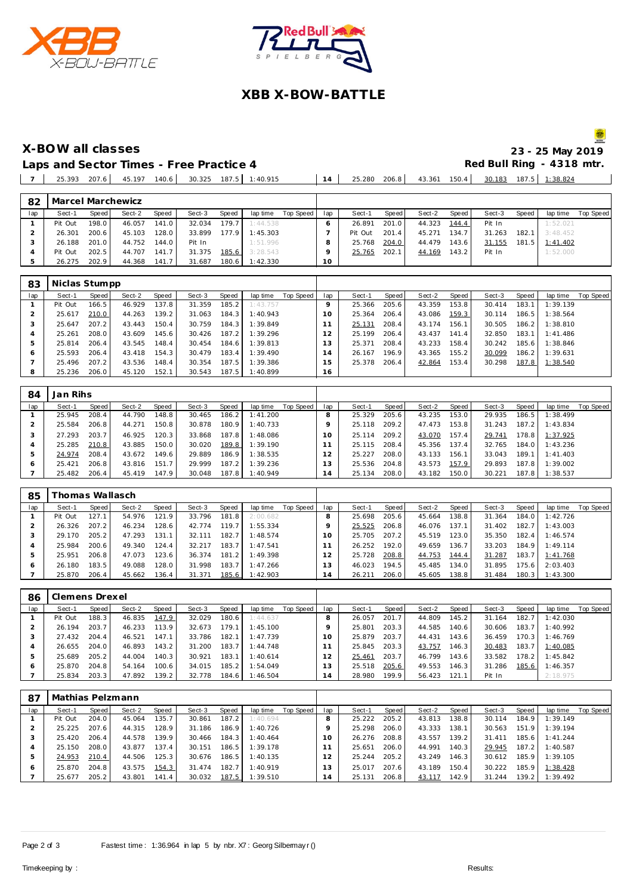



# **XBB X-BOW-BATTLE**

S. **X-BOW all classes 23 - 25 May 2019**

 Pit Out 201.4 45.271 134.7 31.263 182.1 3:48.452 25.768 204.0 44.479 143.6 31.155 181.5 1:41.402 25.765 202.1 44.169 143.2 Pit In

Laps and Sector Times - Free Practice 4<br>
<u>| 14 | 25.280 206.8</u> | 30.313 1138.824 | 25.393 207.6 | 45.197 140.6 | 30.325 187.5 | 1:40.915 | 14 | 25.280 206.8 | 43.361 150.4 | 30.183 187.5 | 1:38.824

 26.301 200.6 45.103 128.0 33.899 177.9 1:45.303 **3 26.188 201.0 44.752 144.0** Pit In 1:51.996<br>**4** Pit Out 202.5 **44.707 141.7 31.375 185.6** 3:28.543

|     | 25.393                 | 207.6 | 45.197 | 140.6 |        | 30.325 187.5 1:40.915 |                          | 14  | 25.280 | 206.8 | 43.361 150.4 |       | 30.183 |       | 187.5 1:38.824 |           |
|-----|------------------------|-------|--------|-------|--------|-----------------------|--------------------------|-----|--------|-------|--------------|-------|--------|-------|----------------|-----------|
|     |                        |       |        |       |        |                       |                          |     |        |       |              |       |        |       |                |           |
|     | 82   Marcel Marchewicz |       |        |       |        |                       |                          |     |        |       |              |       |        |       |                |           |
| lap | Sect-1                 | Speed | Sect-2 | Speed | Sect-3 |                       | Speed lap time Top Speed | lap | Sect-1 | Speed | Sect-2       | Speed | Sect-3 | Speed | lap time       | Top Speed |
|     | Pit Out                | 198.0 | 46.057 | 141.0 |        | 32.034 179.7 1:44.538 |                          |     | 26.891 | 201.0 | 44.323 144.4 |       | Pit In |       | 1:52.021       |           |

| 4<br>5 | Pit Out<br>26.275 | 202.5<br>202.9 | 44.707<br>44.368 | 141.7<br>141.7 | 31.375<br>31.687 | 185.6<br>180.6 | 3:28.543<br>1:42.330 |           | O<br>10         | 25.765 | 202.1 | 44.169 | 143.2 | Pit In |       | 1:52.000 |           |
|--------|-------------------|----------------|------------------|----------------|------------------|----------------|----------------------|-----------|-----------------|--------|-------|--------|-------|--------|-------|----------|-----------|
|        |                   |                |                  |                |                  |                |                      |           |                 |        |       |        |       |        |       |          |           |
| 83     | Niclas Stumpp     |                |                  |                |                  |                |                      |           |                 |        |       |        |       |        |       |          |           |
| lap    | Sect-1            | Speed          | Sect-2           | Speed          | Sect-3           | Speed          | lap time             | Top Speed | lap             | Sect-1 | Speed | Sect-2 | Speed | Sect-3 | Speed | lap time | Top Speed |
|        | Pit Out           | 166.5          | 46.929           | 137.8          | 31.359           | 185.2          | 1:43.757             |           | O               | 25.366 | 205.6 | 43.359 | 153.8 | 30.414 | 183.1 | 1:39.139 |           |
|        | 25.617            | 210.0          | 44.263           | 139.2          | 31.063           | 184.3          | 1:40.943             |           | 10 <sup>°</sup> | 25.364 | 206.4 | 43.086 | 159.3 | 30.114 | 186.5 | 1:38.564 |           |
| 3      | 25.647            | 207.2          | 43.443           | 150.4          | 30.759           | 184.3          | 1:39.849             |           | 1               | 25.131 | 208.4 | 43.174 | 156.1 | 30.505 | 186.2 | 1:38.810 |           |
| 4      | 25.261            | 208.0          | 43.609           | 145.6          | 30.426           | 187.2          | 1:39.296             |           | 12              | 25.199 | 206.4 | 43.437 | 141.4 | 32.850 | 183.1 | 1:41.486 |           |
| 5      | 25.814            | 206.4          | 43.545           | 148.4          | 30.454           | 184.6          | 1:39.813             |           | 13              | 25.371 | 208.4 | 43.233 | 158.4 | 30.242 | 185.6 | 1:38.846 |           |
| 6      | 25.593            | 206.4          | 43.418           | 154.3          | 30.479           | 183.4          | 1:39.490             |           | 14              | 26.167 | 196.9 | 43.365 | 155.2 | 30.099 | 186.2 | 1:39.631 |           |
|        | 25.496            | 207.2          | 43.536           | 148.4          | 30.354           | 187.5          | 1:39.386             |           | 15              | 25.378 | 206.4 | 42.864 | 153.4 | 30.298 | 187.8 | 1:38.540 |           |
| 8      | 25.236            | 206.0          | 45.120           | 152.1          | 30.543           | 187.5          | 1:40.899             |           | 16              |        |       |        |       |        |       |          |           |

| 84  | Jan Rihs |       |        |       |        |       |          |           |     |            |       |        |       |        |       |          |           |
|-----|----------|-------|--------|-------|--------|-------|----------|-----------|-----|------------|-------|--------|-------|--------|-------|----------|-----------|
| lap | Sect-1   | Speed | Sect-2 | Speed | Sect-3 | Speed | lap time | Top Speed | lap | Sect-1     | Speed | Sect-2 | Speed | Sect-3 | Speed | lap time | Top Speed |
|     | 25.945   | 208.4 | 44.790 | 148.8 | 30.465 | 186.2 | 1:41.200 |           | 8   | 25.329     | 205.6 | 43.235 | 153.0 | 29.935 | 186.5 | 1:38.499 |           |
|     | 25.584   | 206.8 | 44.271 | 150.8 | 30.878 | 180.9 | 1:40.733 |           |     | 18<br>25.1 | 209.2 | 47.473 | 153.8 | 31.243 | 187.2 | 1:43.834 |           |
|     | 27.293   | 203.7 | 46.925 | 120.3 | 33.868 | 187.8 | 1:48.086 |           | 10  | 25.114     | 209.2 | 43.070 | 157.4 | 29.741 | 178.8 | 1:37.925 |           |
|     | 25.285   | 210.8 | 43.885 | 150.0 | 30.020 | 189.8 | 1:39.190 |           |     | 25.115     | 208.4 | 45.356 | 137.4 | 32.765 | 184.0 | 1:43.236 |           |
| 5   | 24.974   | 208.4 | 43.672 | 149.6 | 29.889 | 186.9 | 1:38.535 |           |     | 25.227     | 208.0 | 43.133 | 156.1 | 33.043 | 189.1 | 1:41.403 |           |
| 6   | 25.421   | 206.8 | 43.816 | 151.7 | 29.999 | 187.2 | 1:39.236 |           | 13  | 25.536     | 204.8 | 43.573 | 157.9 | 29.893 | 187.8 | 1:39.002 |           |
|     | 25.482   | 206.4 | 45.419 | 147.9 | 30.048 | 187.8 | 1:40.949 |           | 14  | 25.134     | 208.0 | 43.182 | 150.0 | 30.221 | 187.8 | 1:38.537 |           |

| 85  |         | homas Wallasch |        |       |        |       |          |           |     |        |       |        |                    |        |       |          |           |
|-----|---------|----------------|--------|-------|--------|-------|----------|-----------|-----|--------|-------|--------|--------------------|--------|-------|----------|-----------|
| lap | Sect-1  | Speed          | Sect-2 | Speed | Sect-3 | Speed | lap time | Top Speed | lap | Sect-1 | Speed | Sect-2 | Speed              | Sect-3 | Speed | lap time | Top Speed |
|     | Pit Out | 127.1          | 54.976 | 121.9 | 33.796 | 181.8 | 2:00.682 |           |     | 25.698 | 205.6 | 45.664 | 138.8 <sub>1</sub> | 31.364 | 184.0 | 1:42.726 |           |
|     | 26.326  | 207.2          | 46.234 | 128.6 | 42.774 | 119.7 | 1:55.334 |           |     | 25.525 | 206.8 | 46.076 | 137.1              | 31.402 | 182.7 | 1:43.003 |           |
|     | 29.170  | 205.2          | 47.293 | 131.1 | 32.111 | 182.7 | 1:48.574 |           |     | 25.705 | 207.2 | 45.519 | 123.0              | 35.350 | 182.4 | 1:46.574 |           |
|     | 25.984  | 200.6          | 49.340 | 124.4 | 32.217 | 183.7 | 1:47.541 |           |     | 26.252 | 192.0 | 49.659 | 136.7              | 33.203 | 184.9 | 1:49.114 |           |
| 5   | 25.951  | 206.8          | 47.073 | 123.6 | 36.374 | 181.2 | 1:49.398 |           |     | 25.728 | 208.8 | 44.753 | 144.4              | 31.287 | 183.7 | 1:41.768 |           |
| O   | 26.180  | 183.5          | 49.088 | 128.0 | 31.998 | 183.7 | 1:47.266 |           | 3   | 46.023 | 194.5 | 45.485 | 134.0              | 31.895 | 175.6 | 2:03.403 |           |
|     | 25.870  | 206.4          | 45.662 | 136.4 | 31.371 | 185.6 | 1:42.903 |           | 14  | 26.211 | 206.0 | 45.605 | 138.8              | 31.484 | 180.3 | 1:43.300 |           |

| 86  |         | Clemens Drexel |        |       |        |         |          |           |          |        |       |        |       |        |       |          |           |
|-----|---------|----------------|--------|-------|--------|---------|----------|-----------|----------|--------|-------|--------|-------|--------|-------|----------|-----------|
| lap | Sect-1  | Speed          | Sect-2 | Speed | Sect-3 | Speed   | lap time | Top Speed | lap      | Sect-1 | Speed | Sect-2 | Speed | Sect-3 | Speed | lap time | Top Speed |
|     | Pit Out | 188.3          | 46.835 | 147.9 | 32.029 | 180.6 l | 1:44.637 |           |          | 26.057 | 201.7 | 44.809 | 145.2 | 31.164 | 182.7 | 1:42.030 |           |
|     | 26.194  | 203.7          | 46.233 | 113.9 | 32.673 | 179.1   | 1:45.100 |           |          | 25.801 | 203.3 | 44.585 | 140.6 | 30.606 | 183.7 | 1:40.992 |           |
|     | 27.432  | 204.4          | 46.521 | 147.1 | 33.786 | 182.1   | 1:47.739 |           | $\Omega$ | 25.879 | 203.7 | 44.431 | 143.6 | 36.459 | 170.3 | 1:46.769 |           |
|     | 26.655  | 204.0          | 46.893 | 143.2 | 31.200 | 183.7   | 1:44.748 |           |          | 25.845 | 203.3 | 43.757 | 146.3 | 30.483 | 183.7 | 1:40.085 |           |
|     | 25.689  | 205.2          | 44.004 | 140.3 | 30.921 | 183.1   | 1:40.614 |           |          | 25.461 | 203.7 | 46.799 | 143.6 | 33.582 | 178.2 | 1:45.842 |           |
| 6   | 25.870  | 204.8          | 54.164 | 100.6 | 34.015 | 185.2   | 1:54.049 |           |          | 25.518 | 205.6 | 49.553 | 146.3 | 31.286 | 185.6 | 1:46.357 |           |
|     | 25.834  | 203.3          | 47.892 | 139.2 | 32.778 | 184.6   | 1:46.504 |           | 4        | 28.980 | 199.9 | 56.423 | 121.1 | Pit In |       | 2:18.975 |           |

| -87 | Mathias Pelzmann |       |        |                    |        |       |          |           |          |        |       |        |       |        |       |          |           |
|-----|------------------|-------|--------|--------------------|--------|-------|----------|-----------|----------|--------|-------|--------|-------|--------|-------|----------|-----------|
| lap | Sect-1           | Speed | Sect-2 | Speed              | Sect-3 | Speed | lap time | Top Speed | lap      | Sect-1 | Speed | Sect-2 | Speed | Sect-3 | Speed | lap time | Top Speed |
|     | Pit Out          | 204.0 | 45.064 | 135.7              | 30.861 | 187.2 | 1:40.694 |           | 8        | 25.222 | 205.2 | 43.813 | 138.8 | 30.114 | 184.9 | 1:39.149 |           |
|     | 25.225           | 207.6 | 44.315 | 128.9              | 31.186 | 186.9 | 1:40.726 |           |          | 25.298 | 206.0 | 43.333 | 138.1 | 30.563 | 151.9 | 1:39.194 |           |
|     | 25.420           | 206.4 | 44.578 | 139.9              | 30.466 | 184.3 | 1:40.464 |           | $10^{-}$ | 26.276 | 208.8 | 43.557 | 139.2 | 31.411 | 185.6 | 1:41.244 |           |
| 4   | 25.150           | 208.0 | 43.877 | 137.4 <sub>1</sub> | 30.151 | 186.5 | 1:39.178 |           |          | 25.651 | 206.0 | 44.991 | 140.3 | 29.945 | 187.2 | 1:40.587 |           |
| 5   | 24.953           | 210.4 | 44.506 | 125.3              | 30.676 | 186.5 | 1:40.135 |           |          | 25.244 | 205.2 | 43.249 | 146.3 | 30.612 | 185.9 | 1:39.105 |           |
| O   | 25.870           | 204.8 | 43.575 | 154.3              | 31.474 | 182.7 | 1:40.919 |           |          | 25.017 | 207.6 | 43.189 | 150.4 | 30.222 | 185.9 | 1:38.428 |           |
|     | 25.677           | 205.2 | 43.801 | 141.4              | 30.032 | 187.5 | 1:39.510 |           | 14       | 25.131 | 206.8 | 43.117 | 142.9 | 31.244 | 139.2 | 1:39.492 |           |